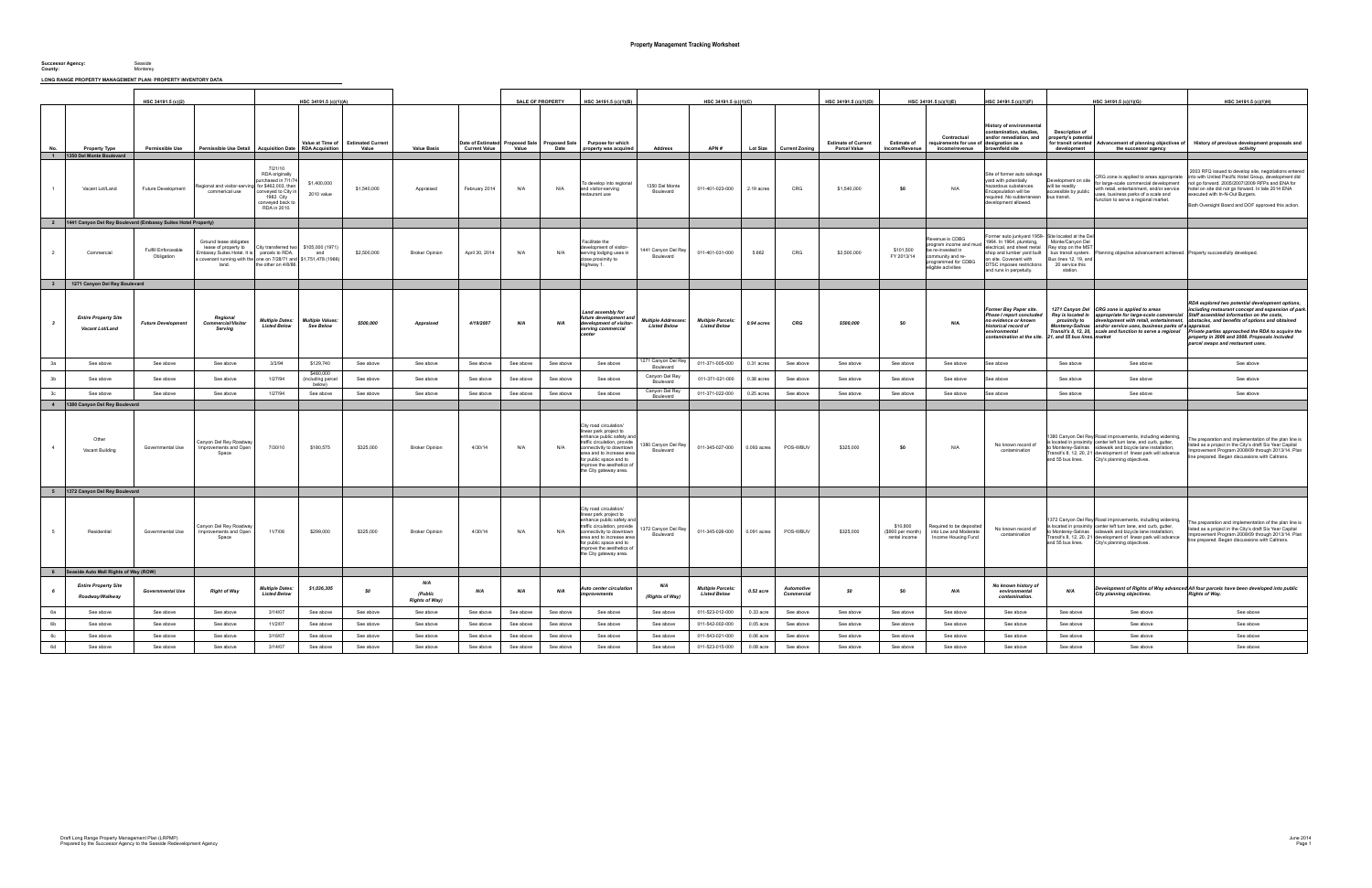**Successor Agency:** Seaside **County:** Monterey

**LONG RANGE PROPERTY MANAGEMENT PLAN: PROPERTY INVENTORY DATA** 

|                         |                                                                   |                                   |                                                                                                                                                                          |                                                                                                            |                                         |                                   |                                         | <b>SALE OF PROPERTY</b>                   |                        | HSC 34191.5 (c)(1)(B)<br>HSC 34191.5 (c)(1)(C) |                                                                                                                                                                                                                                                            |                                                  |                                                 |                     |                           |                                                   |                                                |                                                                                                                                  |                                                                                                                                                                                                                                             |                                                                                |                                                                                                                                                                                                                                                                                                 |                                                                                                                                                                                                                                                                                                                                                                                                                                                   |
|-------------------------|-------------------------------------------------------------------|-----------------------------------|--------------------------------------------------------------------------------------------------------------------------------------------------------------------------|------------------------------------------------------------------------------------------------------------|-----------------------------------------|-----------------------------------|-----------------------------------------|-------------------------------------------|------------------------|------------------------------------------------|------------------------------------------------------------------------------------------------------------------------------------------------------------------------------------------------------------------------------------------------------------|--------------------------------------------------|-------------------------------------------------|---------------------|---------------------------|---------------------------------------------------|------------------------------------------------|----------------------------------------------------------------------------------------------------------------------------------|---------------------------------------------------------------------------------------------------------------------------------------------------------------------------------------------------------------------------------------------|--------------------------------------------------------------------------------|-------------------------------------------------------------------------------------------------------------------------------------------------------------------------------------------------------------------------------------------------------------------------------------------------|---------------------------------------------------------------------------------------------------------------------------------------------------------------------------------------------------------------------------------------------------------------------------------------------------------------------------------------------------------------------------------------------------------------------------------------------------|
|                         |                                                                   | HSC 34191.5 (c)(2)                |                                                                                                                                                                          |                                                                                                            | HSC 34191.5 (c)(1)(A)                   |                                   |                                         |                                           |                        |                                                |                                                                                                                                                                                                                                                            |                                                  |                                                 |                     |                           | HSC 34191.5 (c)(1)(D)                             |                                                | HSC 34191.5 (c)(1)(E)                                                                                                            | HSC 34191.5 (c)(1)(F)                                                                                                                                                                                                                       |                                                                                | HSC 34191.5 (c)(1)(G)                                                                                                                                                                                                                                                                           | HSC 34191.5 (c)(1)H)                                                                                                                                                                                                                                                                                                                                                                                                                              |
| No.                     | <b>Property Type</b><br>1  1350 Del Monte Boulevard               | Permissible Use                   | Permissible Use Detail   Acquisition Date   RDA Acquisition                                                                                                              |                                                                                                            | Value at Time of                        | <b>Estimated Current</b><br>Value | <b>Value Basis</b>                      | Date of Estimated<br><b>Current Value</b> | Proposed Sale<br>Value | <b>Proposed Sale</b><br>Date                   | Purpose for which<br>property was acquired                                                                                                                                                                                                                 | Address                                          | APN#                                            |                     | Lot Size   Current Zoning | <b>Estimate of Current</b><br><b>Parcel Value</b> | <b>Estimate of</b><br>Income/Revenue           | Contractual<br>equirements for use o<br>income/revenue                                                                           | listory of environme<br>contamination, studies,<br>and/or remediation, and<br>f designation as a<br>brownfield site                                                                                                                         | <b>Description of</b><br>roperty's potential<br>development                    | the successor agency                                                                                                                                                                                                                                                                            | for transit oriented Advancement of planning objectives of   History of previous development proposals and<br>activity                                                                                                                                                                                                                                                                                                                            |
|                         |                                                                   |                                   |                                                                                                                                                                          | 7/21/10                                                                                                    |                                         |                                   |                                         |                                           |                        |                                                |                                                                                                                                                                                                                                                            |                                                  |                                                 |                     |                           |                                                   |                                                |                                                                                                                                  |                                                                                                                                                                                                                                             |                                                                                |                                                                                                                                                                                                                                                                                                 |                                                                                                                                                                                                                                                                                                                                                                                                                                                   |
|                         | Vacant Lot/Land                                                   | Future Development                | egional and visitor-serving for \$462.003. then<br>commerical use                                                                                                        | RDA originally<br>urchased in 7/1/7<br>conveved to Citv i<br>1982. City<br>conveved back t<br>RDA in 2010. | \$1,400,000<br>2010 value               | \$1,540,000                       | Appraised                               | February 2014                             | N/A                    | N/A                                            | To develop into regional<br>and visitor-serving<br>restaurant use                                                                                                                                                                                          | 1350 Del Monte<br>Boulevard                      | 011-401-023-000                                 | 2.19 acres          | CRG                       | \$1,540,000                                       | SO.                                            | N/A                                                                                                                              | Site of former auto salvage<br>vard with potentially<br>hazardous substances<br>Encapsulation will be<br>required. No subterranean<br>development allowed.                                                                                  | Development on site<br>will be readily<br>accessible by public<br>bus transit. | CRG zone is applied to areas appropriate<br>for large-scale commercial development<br>with retail, entertainment, and/or service<br>uses, business parks of a scale and<br>function to serve a regional market.                                                                                 | 2003 RFQ issued to develop site, negotiations entere<br>into with United Pacific Hotel Group, development did<br>not go forward. 2005/2007/2009 RFPs and ENA for<br>hotel on site did not go forward. In late 2014 ENA<br>executed with In-N-Out Burgers.<br>Both Oversight Board and DOF approved this action.                                                                                                                                   |
|                         | 2   1441 Canyon Del Rey Boulevard (Embassy Suites Hotel Property) |                                   |                                                                                                                                                                          |                                                                                                            |                                         |                                   |                                         |                                           |                        |                                                |                                                                                                                                                                                                                                                            |                                                  |                                                 |                     |                           |                                                   |                                                |                                                                                                                                  |                                                                                                                                                                                                                                             |                                                                                |                                                                                                                                                                                                                                                                                                 |                                                                                                                                                                                                                                                                                                                                                                                                                                                   |
| $\overline{2}$          | Commercial                                                        | Fulfill Enforceable<br>Obligation | Ground lease obligates<br>lease of property to<br>mbassy Suites Hotel. It is parcels to RDA,<br>covenant running with the one on 7/28/71 and \$1,751,478 (1986)<br>land. | City transferred two \$105,000 (1971<br>the other on 4/8/86                                                | and                                     | \$2,500,000                       | <b>Broker Opinion</b>                   | April 30, 2014                            | N/A                    | N/A                                            | Facilitate the<br>development of visitor-<br>serving lodging uses in<br>close proximity to<br>Highway 1.                                                                                                                                                   | 1441 Canyon Del Rey<br>Boulevard                 | 011-401-031-000                                 | 5.662               | CRG                       | \$2,500,000                                       | \$101,500<br>FY 2013/14                        | evenue is CDBG<br>rogram income and must<br>he re-invested in<br>community and re-<br>programmed for CDBG<br>eligible activities | ormer auto junkyard 1959- Site located at the D<br>1964. In 1964, plumbing, Monte/Canyon Del<br>electrical, and sheet metal<br>shop and lumber yard built<br>on site. Covenant with<br>DTSC imposes restrictions<br>and runs in perpetuity. | Rey stop on the MST<br>Bus lines 12, 19, and<br>20 service this<br>station.    | bus transit system. Planning objective advancement achieved. Property successfully developed.                                                                                                                                                                                                   |                                                                                                                                                                                                                                                                                                                                                                                                                                                   |
| 3 <sup>1</sup>          | 1271 Canyon Del Rey Boulevard                                     |                                   |                                                                                                                                                                          |                                                                                                            |                                         |                                   |                                         |                                           |                        |                                                |                                                                                                                                                                                                                                                            |                                                  |                                                 |                     |                           |                                                   |                                                |                                                                                                                                  |                                                                                                                                                                                                                                             |                                                                                |                                                                                                                                                                                                                                                                                                 |                                                                                                                                                                                                                                                                                                                                                                                                                                                   |
| $\overline{\mathbf{3}}$ | <b>Entire Property Site</b><br>Vacant Lot/Land                    | <b>Future Development</b>         | Regional<br>Commercial/Visitor<br>Servina                                                                                                                                | <b>Multiple Dates:</b><br><b>Listed Below</b>                                                              | <b>Multiple Values</b><br>See Below     | \$500,000                         | Appraised                               | 4/19/2007                                 | N/A                    | N/A                                            | Land assembly for<br>future development and<br>development of visitor-<br>serving commercial                                                                                                                                                               | <b>Multiple Addresses</b><br><b>Listed Below</b> | <b>Multiple Parcels:</b><br><b>Listed Below</b> | 0.94 acres          | CRG                       | \$500,000                                         | \$0                                            | N/A                                                                                                                              | Former Bay Paper site.<br>Phase I report concluded<br>no evidence or known<br>historical record of<br>nvironmental<br>contamination at the site.                                                                                            | proximity to<br>21, and 55 bus lines. market                                   | 1271 Canyon Del CRG zone is applied to areas<br>Monterey-Salinas and/or service uses, business parks of a appraisal.<br>Transit's 8, 12, 20, scale and function to serve a regional                                                                                                             | RDA explored two potential development options<br>including restaurant concept and expansion of park.<br>Rey is located in appropriate for large-scale commercial Staff assembled information on the costs,<br>development with retail, entertainment, obstacles, and benefits of options and obtained<br>Private parties approached the RDA to acquire the<br>property in 2006 and 2008. Proposals included<br>parcel swaps and restaurant uses. |
| 3a                      | See above                                                         | See above                         | See above                                                                                                                                                                | 3/3/94                                                                                                     | \$129,740                               | See above                         | See above                               | See above                                 | See above              | See above                                      | See above                                                                                                                                                                                                                                                  | 1271 Canyon Del Rey<br>Boulevard                 | 011-371-005-000                                 | $0.31$ acres        | See above                 | See above                                         | See above                                      | See above                                                                                                                        | See above                                                                                                                                                                                                                                   | See above                                                                      | See above                                                                                                                                                                                                                                                                                       | See above                                                                                                                                                                                                                                                                                                                                                                                                                                         |
| 3 <sub>b</sub>          | See above                                                         | See above                         | See above                                                                                                                                                                | 1/27/94                                                                                                    | \$480,000<br>including parcel<br>helow) | See above                         | See above                               | See above                                 | See above              | See above                                      | See above                                                                                                                                                                                                                                                  | Canyon Del Rey<br>Boulevard                      | 011-371-021-000                                 | 0.38 acres          | See above                 | See above                                         | See above                                      | See above                                                                                                                        | See above                                                                                                                                                                                                                                   | See above                                                                      | See above                                                                                                                                                                                                                                                                                       | See above                                                                                                                                                                                                                                                                                                                                                                                                                                         |
| 3c                      | See above                                                         | See above                         | See above                                                                                                                                                                | 1/27/94                                                                                                    | See above                               | See above                         | See above                               | See above                                 | See above              | See above                                      | See above                                                                                                                                                                                                                                                  | Canyon Del Rey<br>Boulevard                      | 011-371-022-000                                 | 0.25 acres          | See above                 | See above                                         | See above                                      | See above                                                                                                                        | See above                                                                                                                                                                                                                                   | See above                                                                      | See above                                                                                                                                                                                                                                                                                       | See above                                                                                                                                                                                                                                                                                                                                                                                                                                         |
|                         | 4   1380 Canyon Del Rey Boulevard                                 |                                   |                                                                                                                                                                          |                                                                                                            |                                         |                                   |                                         |                                           |                        |                                                |                                                                                                                                                                                                                                                            |                                                  |                                                 |                     |                           |                                                   |                                                |                                                                                                                                  |                                                                                                                                                                                                                                             |                                                                                |                                                                                                                                                                                                                                                                                                 |                                                                                                                                                                                                                                                                                                                                                                                                                                                   |
| $\overline{4}$          | Other<br>Vacant Building                                          | Governmental Use                  | anvon Del Rev Roadway<br>Improvements and Open<br>Space                                                                                                                  | 7/30/10                                                                                                    | \$180,575                               | \$325,000                         | <b>Broker Opinion</b>                   | 4/30/14                                   | N/A                    | N/A                                            | City road circulation/<br>llinear park proiect to<br>lenhance public safety an<br>traffic circulation, provide<br>connectivity to downtown<br>larea and to increase area<br>for public space and to<br>improve the aesthetics of<br>the City gateway area. | 1380 Canyon Del Re<br>Boulevard                  | 011-345-027-000                                 | $\vert$ 0.093 acres | POS-WBUV                  | \$325,000                                         | \$0                                            | N/A                                                                                                                              | No known record of<br>contamination                                                                                                                                                                                                         | and 55 bus lines.                                                              | 1380 Canyon Del Rey Road improvements, including widening,<br>is located in proximity center left turn lane, and curb, gutter,<br>to Monterey-Salinas sidewalk and bicycle lane installation:<br>Transit's 8, 12, 20, 21 development of linear park will advance<br>City's planning objectives. | The preparation and implementation of the plan line is<br>listed as a project in the City's draft Six Year Capital<br>mprovement Program 2008/09 through 2013/14. Plan<br>line prepared. Began discussions with Caltrans.                                                                                                                                                                                                                         |
|                         | 5  1372 Canyon Del Rey Boulevard                                  |                                   |                                                                                                                                                                          |                                                                                                            |                                         |                                   |                                         |                                           |                        |                                                |                                                                                                                                                                                                                                                            |                                                  |                                                 |                     |                           |                                                   |                                                |                                                                                                                                  |                                                                                                                                                                                                                                             |                                                                                |                                                                                                                                                                                                                                                                                                 |                                                                                                                                                                                                                                                                                                                                                                                                                                                   |
| 5                       | Residential                                                       | Governmental Use                  | Canyon Del Rey Roadwa<br>Improvements and Open<br>Space                                                                                                                  | 11/7/08                                                                                                    | \$299,000                               | \$325,000                         | <b>Broker Opinion</b>                   | 4/30/14                                   | N/A                    | N/A                                            | City road circulation.<br>linear park project to<br>enhance public safety and<br>traffic circulation, provide<br>connectivity to downtown<br>area and to increase area<br>for public space and to<br>improve the aesthetics of<br>the City gateway area.   | 1372 Canyon Del Rey<br>Boulevard                 | 011-345-026-000                                 | $0.091$ acres       | POS-WBUV                  | \$325,000                                         | \$10,800<br>(\$900 per month)<br>rental income | Required to be deposited<br>into Low and Moderate<br>Income Housing Fund                                                         | No known record of<br>contamination                                                                                                                                                                                                         | and 55 bus lines.                                                              | 1372 Canyon Del Rey Road improvements, including widening,<br>s located in proximity center left turn lane, and curb, gutter,<br>o Monterey-Salinas sidewalk and bicycle lane installation;<br>Transit's 8, 12, 20, 21 development of linear park will advance<br>City's planning objectives.   | The preparation and implementation of the plan line i<br>listed as a project in the City's draft Six Year Capital<br>Improvement Program 2008/09 through 2013/14. Plan<br>line prepared. Began discussions with Caltrans.                                                                                                                                                                                                                         |
|                         | 6 Seaside Auto Mall Rights of Way (ROW)                           |                                   |                                                                                                                                                                          |                                                                                                            |                                         |                                   |                                         |                                           |                        |                                                |                                                                                                                                                                                                                                                            |                                                  |                                                 |                     |                           |                                                   |                                                |                                                                                                                                  |                                                                                                                                                                                                                                             |                                                                                |                                                                                                                                                                                                                                                                                                 |                                                                                                                                                                                                                                                                                                                                                                                                                                                   |
| $6\overline{6}$         | <b>Entire Property Site</b><br>Roadway/Walkway                    | <b>Governmental Use</b>           | <b>Right of Way</b>                                                                                                                                                      | <b>Multiple Dates</b><br><b>Listed Below</b>                                                               | \$1,036,305                             | so                                | N/A<br>(Public<br><b>Rights of Way)</b> | N/A                                       | N/A                    | N/A                                            | luto center circulation                                                                                                                                                                                                                                    | N/A<br>(Rights of Way)                           | Multiple Parcels:<br><b>Listed Below</b>        | $0.52$ acre         | Automotive<br>Commercia   | so                                                | SO.                                            | N/A                                                                                                                              | No known history of<br>environmental<br>contamination.                                                                                                                                                                                      | N/A                                                                            | City planning objectives.                                                                                                                                                                                                                                                                       | velopment of Rights of Way advanced All four parcels have been developed into public<br>Rights of Way.                                                                                                                                                                                                                                                                                                                                            |
| 6а                      | See above                                                         | See above                         | See above                                                                                                                                                                | 3/14/07                                                                                                    | See above                               | See above                         | See above                               | See above                                 | See above              | See above                                      | See above                                                                                                                                                                                                                                                  | See above                                        | 011-523-012-000                                 | $0.33$ acre         | See above                 | See above                                         | See above                                      | See above                                                                                                                        | See above                                                                                                                                                                                                                                   | See above                                                                      | See above                                                                                                                                                                                                                                                                                       | See above                                                                                                                                                                                                                                                                                                                                                                                                                                         |
| 6b                      | See above                                                         | See above                         | See above                                                                                                                                                                | 11/2/07                                                                                                    | See above                               | See above                         | See above                               | See above                                 | See above              | See above                                      | See above                                                                                                                                                                                                                                                  | See above                                        | 011-542-002-000                                 | $0.05$ acre         | See above                 | See above                                         | See above                                      | See above                                                                                                                        | See above                                                                                                                                                                                                                                   | See above                                                                      | See above                                                                                                                                                                                                                                                                                       | See above                                                                                                                                                                                                                                                                                                                                                                                                                                         |
| 6c                      | See above                                                         | See above                         | See above                                                                                                                                                                | 3/16/07                                                                                                    | See above                               | See above                         | See above                               | See above                                 | See above              | See above                                      | See above                                                                                                                                                                                                                                                  | See above                                        | 011-543-021-000                                 | $0.06$ acre         | See above                 | See above                                         | See above                                      | See above                                                                                                                        | See above                                                                                                                                                                                                                                   | See above                                                                      | See above                                                                                                                                                                                                                                                                                       | See above                                                                                                                                                                                                                                                                                                                                                                                                                                         |
| 6d                      | See above                                                         | See above                         | See above                                                                                                                                                                | 3/14/07                                                                                                    | See above                               | See above                         | See above                               | See above                                 | See above              | See above                                      | See above                                                                                                                                                                                                                                                  | See above                                        | 011-523-015-000                                 | $0.08$ acre         | See above                 | See above                                         | See above                                      | See above                                                                                                                        | See above                                                                                                                                                                                                                                   | See above                                                                      | See above                                                                                                                                                                                                                                                                                       | See above                                                                                                                                                                                                                                                                                                                                                                                                                                         |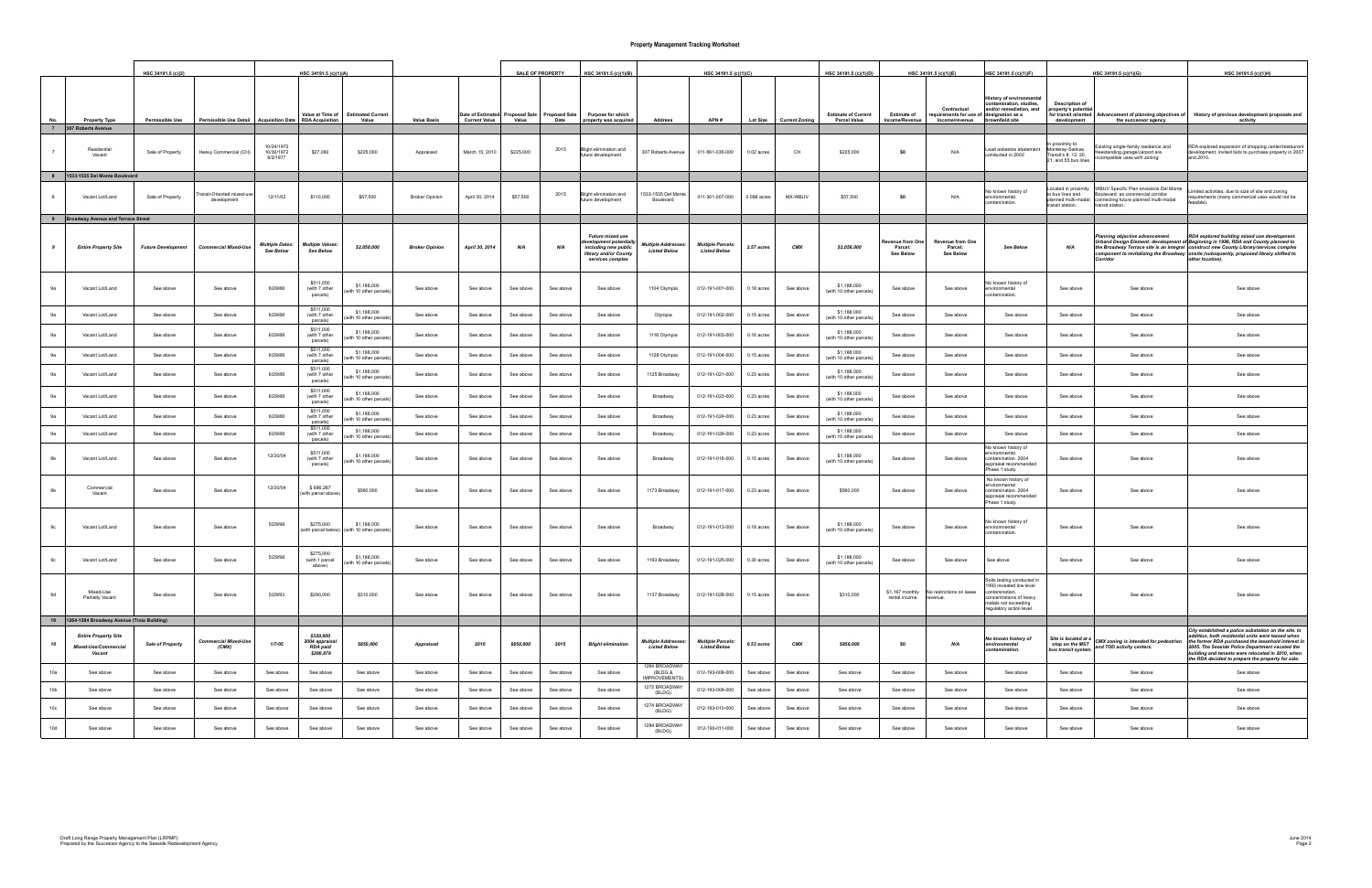## **Property Management Tracking Worksheet**

|                 |                                                               | HSC 34191.5 (c)(2)        |                                                           | HSC 34191.5 (c)(1)(A)                      |                                                      |                                                            |                       |                      | SALE OF PROPERTY |           | HSC 34191.5 (c)(1)(B)                                                                                               |                                                   | HSC 34191.5 (c)(1)(C)                           |               |                       | HSC 34191.5 (c)(1)(D)                             |                                                        | HSC 34191.5 (c)(1)(E)                               | HSC 34191.5 (c)(1)(F)                                                                                                                                  |                                                                                 | HSC 34191.5 (c)(1)(G)                                                                                                                                       | HSC 34191.5 (c)(1)H)                                                                                                                                                                                                                                                                                                                                               |
|-----------------|---------------------------------------------------------------|---------------------------|-----------------------------------------------------------|--------------------------------------------|------------------------------------------------------|------------------------------------------------------------|-----------------------|----------------------|------------------|-----------|---------------------------------------------------------------------------------------------------------------------|---------------------------------------------------|-------------------------------------------------|---------------|-----------------------|---------------------------------------------------|--------------------------------------------------------|-----------------------------------------------------|--------------------------------------------------------------------------------------------------------------------------------------------------------|---------------------------------------------------------------------------------|-------------------------------------------------------------------------------------------------------------------------------------------------------------|--------------------------------------------------------------------------------------------------------------------------------------------------------------------------------------------------------------------------------------------------------------------------------------------------------------------------------------------------------------------|
|                 | <b>Property Type</b><br>7 307 Roberts Avenue                  | Permissible Use           | Permissible Use Detail Acquisition Date   RDA Acquisition |                                            |                                                      | Value at Time of Estimated Current<br>Value                | <b>Value Basis</b>    | <b>Current Value</b> | <b>Value</b>     | Date      | Date of Estimated Proposed Sale   Proposed Sale   Purpose for which<br>property was acquired                        | Address                                           | APN#                                            | Lot Size      | <b>Current Zoning</b> | <b>Estimate of Current</b><br><b>Parcel Value</b> | <b>Estimate of</b><br>Income/Revenue                   | Contractual<br>income/revenue                       | <b>History of environmental</b><br>contamination, studies,<br>and/or remediation, and<br>requirements for use of designation as a<br>brownfield site   | <b>Description of</b><br>property's potential<br>development                    | the successor agency                                                                                                                                        | for transit oriented   Advancement of planning objectives of   History of previous development proposals and<br>activity                                                                                                                                                                                                                                           |
|                 | Residential<br>Vacant                                         | Sale of Property          | Heavy Commercial (CH)                                     | 10/24/1972<br>10/30/1972<br>8/2/1977       | \$27,060                                             | \$225,000                                                  | Appraised             | March 15, 2010       | \$225,000        | 2015      | Blight elimination and<br>future development                                                                        | 307 Roberts Avenue                                | 011-561-035-000                                 | $0.02$ acres  | CH                    | \$225,000                                         | \$0                                                    | N/A                                                 | Lead asbestos abatement<br>conducted in 2002                                                                                                           | proximity to<br>Monterey-Salinas<br>Transit's 8, 12, 20,<br>1, and 55 bus lines | Existing single-family residence and<br>freestanding garage/carport are<br>compatible uses with zoning.                                                     | RDA explored expansion of shopping center/restaurant<br>development; invited bids to purchase property in 2007<br>and 2010.                                                                                                                                                                                                                                        |
|                 | 8   1533-1535 Del Monte Boulevard                             |                           |                                                           |                                            |                                                      |                                                            |                       |                      |                  |           |                                                                                                                     |                                                   |                                                 |               |                       |                                                   |                                                        |                                                     |                                                                                                                                                        |                                                                                 |                                                                                                                                                             |                                                                                                                                                                                                                                                                                                                                                                    |
|                 | Vacant Lot/Land                                               | Sale of Property          | Fransit-Oriented mixed-use<br>development                 | 12/11/02                                   | \$110,000                                            | \$57,500                                                   | <b>Broker Opinion</b> | April 30, 2014       | \$57,500         | 2015      | <b>Blight elimination and</b><br>future development                                                                 | 1533-1535 Del Monte<br>Boulevard                  | 011-301-007-000                                 | $0.088$ acres | MX-WBUV               | \$57,500                                          | \$0                                                    | N/A                                                 | No known history of<br>environmental<br>contamination.                                                                                                 | Located in proximity<br>to bus lines and<br>transit station.                    | WBUV Specific Plan envisions Del Monte<br>Boulevard as commercial corridor<br>planned multi-modal connecting future planned multi-modal<br>transit station. | Limited activities, due to size of site and zoning<br>requirements (many commercial uses would not be<br>feasible).                                                                                                                                                                                                                                                |
|                 | 9 Broadway Avenue and Terrace Street                          |                           |                                                           |                                            |                                                      |                                                            |                       |                      |                  |           |                                                                                                                     |                                                   |                                                 |               |                       |                                                   |                                                        |                                                     |                                                                                                                                                        |                                                                                 |                                                                                                                                                             |                                                                                                                                                                                                                                                                                                                                                                    |
|                 | <b>Entire Property Site</b>                                   | <b>Future Development</b> | <b>Commercial Mixed-Use</b>                               | <b>Multiple Dates:</b><br><b>See Below</b> | <b>Multiple Values</b><br>See Below                  | \$2,058,000                                                | <b>Broker Opinion</b> | April 30, 2014       | N/A              | N/A       | <b>Future mixed use</b><br>lopment potentially<br>including new public<br>library and/or County<br>services complex | <b>Multiple Addresses.</b><br><b>Listed Below</b> | <b>Multiple Parcels:</b><br><b>Listed Below</b> | 2.57 acres    | <b>CMX</b>            | \$2,058,000                                       | <b>Revenue from One</b><br>Parcel:<br><b>See Below</b> | Revenue from One<br>Parcel:<br><b>See Below</b>     | See Below                                                                                                                                              | N/A                                                                             | Planning objective advancement.<br>Corridor                                                                                                                 | RDA explored building mixed use development<br>Urband Design Element: development of Beginning in 1996, RDA and County planned to<br>the Broadway Terrace site is an integral construct new County Library/services complex<br>component to revitalizing the Broadway onsite (subsquently, proposed library shifted to<br>other location).                         |
|                 | Vacant Lot/Land                                               | See above                 | See above                                                 | 6/29/88                                    | \$511,000<br>(with 7 other<br>parcels)               | \$1,188,000<br>(with 10 other parcels)                     | See above             | See above            | See above        | See above | See above                                                                                                           | 1104 Olympia                                      | 012-191-001-000                                 | 0.18 acres    | See above             | \$1,188,000<br>(with 10 other parcels)            | See above                                              | See above                                           | No known history of<br>environmental<br>contamination.                                                                                                 | See above                                                                       | See above                                                                                                                                                   | See above                                                                                                                                                                                                                                                                                                                                                          |
|                 | Vacant Lot/Land                                               | See above                 | See above                                                 | 6/29/88                                    | \$511,000<br>(with 7 other<br>parcels)               | \$1,188,000<br>(with 10 other parcels)                     | See above             | See above            | See above        | See above | See above                                                                                                           | Olympia                                           | 012-191-002-000                                 | $0.15$ acres  | See above             | \$1,188,000<br>(with 10 other parcels)            | See above                                              | See above                                           | See above                                                                                                                                              | See above                                                                       | See above                                                                                                                                                   | See above                                                                                                                                                                                                                                                                                                                                                          |
|                 | Vacant Lot/Land                                               | See above                 | See above                                                 | 6/29/88                                    | \$511,000<br>(with 7 other<br>parcels)               | \$1,188,000<br>(with 10 other parcels)                     | See above             | See above            | See above        | See above | See above                                                                                                           | 1116 Olympia                                      | 012-191-003-000                                 | $0.16$ acres  | See above             | \$1,188,000<br>(with 10 other parcels)            | See above                                              | See above                                           | See above                                                                                                                                              | See above                                                                       | See above                                                                                                                                                   | See above                                                                                                                                                                                                                                                                                                                                                          |
|                 | Vacant Lot/Land                                               | See above                 | See above                                                 | 6/29/88                                    | \$511,000<br>(with 7 other                           | \$1,188,000<br>with 10 other parcels)                      | See above             | See above            | See above        | See above | See above                                                                                                           | 1128 Olympia                                      | 012-191-004-000                                 | $0.15$ acres  | See above             | \$1.188.000<br>(with 10 other parcels)            | See above                                              | See above                                           | See above                                                                                                                                              | See above                                                                       | See above                                                                                                                                                   | See above                                                                                                                                                                                                                                                                                                                                                          |
|                 | Vacant Lot/Land                                               | See above                 | See above                                                 | 6/29/88                                    | parcels)<br>\$511,000<br>(with 7 other               | \$1,188,000<br>(with 10 other parcels)                     | See above             | See above            | See above        | See above | See above                                                                                                           | 1125 Broadway                                     | 012-191-021-000                                 | 0.23 acres    | See above             | \$1,188,000<br>(with 10 other parcels)            | See above                                              | See above                                           | See above                                                                                                                                              | See above                                                                       | See above                                                                                                                                                   | See above                                                                                                                                                                                                                                                                                                                                                          |
|                 | Vacant Lot/Land                                               | See above                 | See above                                                 | 6/29/88                                    | parcels)<br>\$511,000<br>(with 7 other               | \$1,188,000<br>(with 10 other parcels)                     | See above             | See above            | See above        | See above | See above                                                                                                           | Broadway                                          | 012-191-023-000                                 | 0.23 acres    | See above             | \$1,188,000<br>(with 10 other parcels)            | See above                                              | See above                                           | See above                                                                                                                                              | See above                                                                       | See above                                                                                                                                                   | See above                                                                                                                                                                                                                                                                                                                                                          |
|                 | Vacant Lot/Land                                               | See above                 | See above                                                 | 6/29/88                                    | parcels)<br>\$511,000<br>(with 7 other               | \$1,188,000<br>(with 10 other parcels)                     | See above             | See above            | See above        | See above | See above                                                                                                           | Broadway                                          | 012-191-024-000                                 | 0.23 acres    | See above             | \$1,188,000<br>(with 10 other parcels)            | See above                                              | See above                                           | See above                                                                                                                                              | See above                                                                       | See above                                                                                                                                                   | See above                                                                                                                                                                                                                                                                                                                                                          |
|                 | Vacant Lot/Land                                               | See above                 | See above                                                 | 6/29/88                                    | parcels)<br>\$511,000<br>(with 7 other               | \$1,188,000<br>vith 10 other parcels)                      | See above             | See above            | See above        | See above | See above                                                                                                           | Broadway                                          | 012-191-029-000                                 | $0.23$ acres  | See above             | \$1,188,000<br>(with 10 other parcels)            | See above                                              | See above                                           | See above                                                                                                                                              | See above                                                                       | See above                                                                                                                                                   | See above                                                                                                                                                                                                                                                                                                                                                          |
| 9b              | Vacant Lot/Land                                               | See above                 | See above                                                 | 12/30/04                                   | parcels)<br>\$511,000<br>(with 7 other<br>parcels)   | \$1,188,000<br>(with 10 other parcels)                     | See above             | See above            | See above        | See above | See above                                                                                                           | Broadway                                          | 012-191-016-000                                 | $0.15$ acres  | See above             | \$1,188,000<br>(with 10 other parcels)            | See above                                              | See above                                           | No known history of<br>environmental<br>contamination. 2004<br>appraisal recommended<br>Phase 1 study.                                                 | See above                                                                       | See above                                                                                                                                                   | See above                                                                                                                                                                                                                                                                                                                                                          |
|                 | Commercial<br>Vacant                                          | See above                 | See above                                                 | 12/30/04                                   | \$686,287<br>(with parcel above)                     | \$560,000                                                  | See above             | See above            | See above        | See above | See above                                                                                                           | 1173 Broadway                                     | 012-191-017-000                                 | 0.23 acres    | See above             | \$560,000                                         | See above                                              | See above                                           | No known history of<br>environmental<br>contamination. 2004<br>appraisal recommended<br>Phase 1 study.                                                 | See above                                                                       | See above                                                                                                                                                   | See above                                                                                                                                                                                                                                                                                                                                                          |
|                 | Vacant Lot/Land                                               | See above                 | See above                                                 | 5/29/98                                    | \$275,000                                            | \$1,188,000<br>(with parcel below) (with 10 other parcels) | See above             | See above            | See above        | See above | See above                                                                                                           | Broadway                                          | 012-191-013-000                                 | $0.18$ acres  | See above             | \$1,188,000<br>(with 10 other parcels)            | See above                                              | See above                                           | No known history of<br>lenvironmental<br>contamination                                                                                                 | See above                                                                       | See above                                                                                                                                                   | See above                                                                                                                                                                                                                                                                                                                                                          |
|                 | Vacant Lot/Land                                               | See above                 | See above                                                 | 5/29/98                                    | \$275,000<br>(with 1 parcel<br>above)                | \$1,188,000<br>with 10 other parcels'                      | See above             | See above            | See above        | See above | See above                                                                                                           | 1193 Broadway                                     | 012-191-025-000                                 | 0.30 acres    | See above             | \$1,188,000<br>(with 10 other parcels)            | See above                                              | See above                                           | See above                                                                                                                                              | See above                                                                       | See above                                                                                                                                                   | See above                                                                                                                                                                                                                                                                                                                                                          |
| 9d              | Mixed-Use<br>Partially Vacant                                 | See above                 | See above                                                 | 5/29/93                                    | \$290,000                                            | \$310,000                                                  | See above             | See above            | See above        | See above | See above                                                                                                           | 1137 Broadway                                     | 012-191-028-000                                 | $0.15$ acres  | See above             | \$310,000                                         | rental income                                          | \$1,167 monthly No restrictions on lease<br>revenue | Soils testing conducted in<br>1993 revealed low level<br>contamination,<br>concentrations of heavy<br>metals not exceeding<br>regulatory action level. | See above                                                                       | See above                                                                                                                                                   | See above                                                                                                                                                                                                                                                                                                                                                          |
|                 | 10   1264-1284 Broadway Avenue (Troia Building)               |                           |                                                           |                                            |                                                      |                                                            |                       |                      |                  |           |                                                                                                                     |                                                   |                                                 |               |                       |                                                   |                                                        |                                                     |                                                                                                                                                        |                                                                                 |                                                                                                                                                             |                                                                                                                                                                                                                                                                                                                                                                    |
| 10              | <b>Entire Property Site</b><br>Mixed-Use/Commercial<br>Vacant | <b>Sale of Property</b>   | <b>Commercial Mixed-Use</b><br>(CMX)                      | 1/7/05                                     | \$320,000<br>2004 appraisal<br>RDA paid<br>\$280,878 | \$850,000                                                  | Appraised             | 2010                 | \$850,000        | 2015      | <b>Blight elimination</b>                                                                                           | <b>Multiple Addresses:</b><br><b>Listed Below</b> | <b>Multiple Parcels:</b><br><b>Listed Below</b> | $0.53$ acres  | <b>CMX</b>            | \$850,000                                         | \$0                                                    | N/A                                                 | No known history of<br>environmental<br>contamination.                                                                                                 | Site is located at a                                                            | bus transit system. and TOD activity centers.                                                                                                               | City established a police substation on the site. In<br>addition, both residential units were leased when<br>CMX zoning is intended for pedestrian the former RDA purchased the leasehold interest in<br>2005. The Seaside Police Department vacated the<br>building and tenants were relocated in 2010, when<br>the RDA decided to prepare the property for sale. |
| 10a             | See above                                                     | See above                 | See above                                                 | See above                                  | See above                                            | See above                                                  | See above             | See above            | See above        | See above | See above                                                                                                           | 1264 BROADWAY<br>(BLDG &<br>IMPROVEMENTS)         | 012-193-008-000                                 | See above     | See above             | See above                                         | See above                                              | See above                                           | See above                                                                                                                                              | See above                                                                       | See above                                                                                                                                                   | See above                                                                                                                                                                                                                                                                                                                                                          |
| 10 <sub>b</sub> | See above                                                     | See above                 | See above                                                 | See above                                  | See above                                            | See above                                                  | See above             | See above            | See above        | See above | See above                                                                                                           | 1272 BROADWAY<br>(BLDG)                           | 012-193-009-000                                 | See above     | See above             | See above                                         | See above                                              | See above                                           | See above                                                                                                                                              | See above                                                                       | See above                                                                                                                                                   | See above                                                                                                                                                                                                                                                                                                                                                          |
| 10 <sub>c</sub> | See above                                                     | See above                 | See above                                                 | See above                                  | See above                                            | See above                                                  | See above             | See above            | See above        | See above | See above                                                                                                           | 1274 BROADWAY<br>(BLDG)                           | 012-193-010-000                                 | See above     | See above             | See above                                         | See above                                              | See above                                           | See above                                                                                                                                              | See above                                                                       | See above                                                                                                                                                   | See above                                                                                                                                                                                                                                                                                                                                                          |
| 10d             | See above                                                     | See above                 | See above                                                 | See above                                  | See above                                            | See above                                                  | See above             | See above            | See above        | See above | See above                                                                                                           | 1284 BROADWAY<br>(BLDG)                           | 012-193-011-000                                 | See above     | See above             | See above                                         | See above                                              | See above                                           | See above                                                                                                                                              | See above                                                                       | See above                                                                                                                                                   | See above                                                                                                                                                                                                                                                                                                                                                          |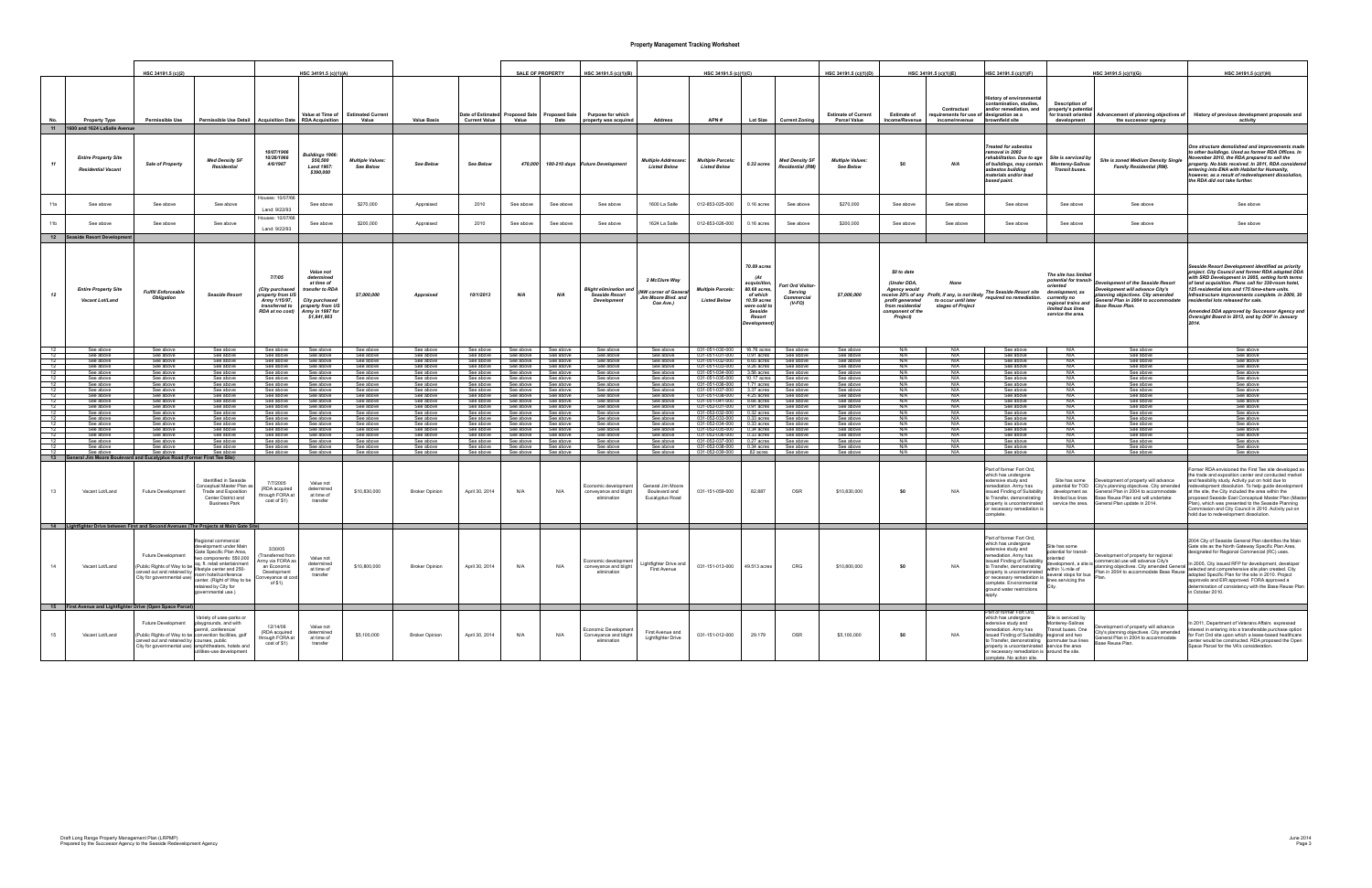## **Property Management Tracking Worksheet**

|                 |                                                                                         | HSC 34191.5 (c)(2)                                               |                                                                                                                                                                                                                                                                                                                                                                        | HSC 34191.5 (c)(1)(A)                                                                                           |                                                                                                                                          |                                             |                                     |                                                                           | <b>SALE OF PROPERTY</b>             |                                     | HSC 34191.5 (c)(1)(B)                                                                   |                                                                           | HSC 34191.5 (c)(1)(C)                                                   |                                                                                                                                |                                                     | HSC 34191.5 (c)(1)(D)                             |                                                                                                                           | HSC 34191.5 (c)(1)(E)                                                     | HSC 34191.5 (c)(1)(F)                                                                                                                                                                                                                                                                              |                                                                                                                                                                | HSC 34191.5 (c)(1)(G)                                                                                                                                                                                             | HSC 34191.5 (c)(1)H)                                                                                                                                                                                                                                                                                                                                                                                                                                                                             |
|-----------------|-----------------------------------------------------------------------------------------|------------------------------------------------------------------|------------------------------------------------------------------------------------------------------------------------------------------------------------------------------------------------------------------------------------------------------------------------------------------------------------------------------------------------------------------------|-----------------------------------------------------------------------------------------------------------------|------------------------------------------------------------------------------------------------------------------------------------------|---------------------------------------------|-------------------------------------|---------------------------------------------------------------------------|-------------------------------------|-------------------------------------|-----------------------------------------------------------------------------------------|---------------------------------------------------------------------------|-------------------------------------------------------------------------|--------------------------------------------------------------------------------------------------------------------------------|-----------------------------------------------------|---------------------------------------------------|---------------------------------------------------------------------------------------------------------------------------|---------------------------------------------------------------------------|----------------------------------------------------------------------------------------------------------------------------------------------------------------------------------------------------------------------------------------------------------------------------------------------------|----------------------------------------------------------------------------------------------------------------------------------------------------------------|-------------------------------------------------------------------------------------------------------------------------------------------------------------------------------------------------------------------|--------------------------------------------------------------------------------------------------------------------------------------------------------------------------------------------------------------------------------------------------------------------------------------------------------------------------------------------------------------------------------------------------------------------------------------------------------------------------------------------------|
|                 | <b>Property Type</b><br>11 1600 and 1624 LaSalle Avenue                                 | <b>Permissible Use</b>                                           | Permissible Use Detail   Acquisition Date   RDA Acquisition                                                                                                                                                                                                                                                                                                            |                                                                                                                 |                                                                                                                                          | Value at Time of Estimated Current<br>Value | <b>Value Basis</b>                  | Date of Estimated Proposed Sale   Proposed Sale  <br><b>Current Value</b> | <b>Value</b>                        | Date                                | Purpose for which<br>property was acquired                                              | <b>Address</b>                                                            | APN#                                                                    | <b>Lot Size</b>                                                                                                                | <b>Current Zoning</b>                               | <b>Estimate of Current</b><br><b>Parcel Value</b> | Estimate of<br>Income/Revenue                                                                                             | Contractual<br>requirements for use of designation as a<br>income/revenue | History of environmenta<br>ontamination, studies<br>and/or remediation, and<br>brownfield site                                                                                                                                                                                                     | Description of<br>roperty's potential<br>development                                                                                                           | the successor agency                                                                                                                                                                                              | for transit oriented   Advancement of planning objectives of   History of previous development proposals and<br>activity                                                                                                                                                                                                                                                                                                                                                                         |
|                 | <b>Entire Property Site</b><br><b>Residential Vacant</b>                                | Sale of Property                                                 | <b>Med Density SF</b><br><b>Residential</b>                                                                                                                                                                                                                                                                                                                            | 10/07/1966<br>10/26/1966<br>4/6/1967                                                                            | 3uildinas 1966:<br>\$50.500<br><b>Land 1967:</b><br>\$390.000                                                                            | <b>Multiple Values:</b><br>See Below        | See Below                           | See Below                                                                 |                                     |                                     | 470,000 180-210 days Future Development                                                 | <b>Multiple Addresses:</b><br><b>Listed Below</b>                         | <b>Multiple Parcels:</b><br><b>Listed Below</b>                         | 0.32 acres                                                                                                                     | <b>Med Density SF</b><br><b>Residential (RM)</b>    | <b>Multiple Values:</b><br>See Below              | \$0                                                                                                                       | N/A                                                                       | <b>Treated for asbestos</b><br>removal in 2002<br>rehabilitation. Due to age<br>of buildings, may contain<br>asbestos building<br>materials and/or lead<br>based paint.                                                                                                                            | Site is serviced by<br><b>Monterey-Salinas</b><br>Transit buses.                                                                                               | <b>Site is zoned Medium Density Single</b><br><b>Family Residential (RM).</b>                                                                                                                                     | One structure demolished and improvements made<br>to other buildings. Used as former RDA Offices. In<br>November 2010, the RDA prepared to sell the<br>property. No bids received. In 2011, RDA considered<br>entering into ENA with Habitat for Humanity,<br>however, as a result of redevelopment dissolution,<br>the RDA did not take further.                                                                                                                                                |
|                 | See above                                                                               | See above                                                        | See above                                                                                                                                                                                                                                                                                                                                                              | Houses: 10/07/66                                                                                                | See above                                                                                                                                | \$270,000                                   | Appraised                           | 2010                                                                      | See above                           | See above                           | See above                                                                               | 1600 La Salle                                                             | 012-853-025-000                                                         | $0.16$ acres                                                                                                                   | See above                                           | \$270,000                                         | See above                                                                                                                 | See above                                                                 | See above                                                                                                                                                                                                                                                                                          | See above                                                                                                                                                      | See above                                                                                                                                                                                                         | See above                                                                                                                                                                                                                                                                                                                                                                                                                                                                                        |
| 11 <sub>b</sub> | See above                                                                               | See above                                                        | See above                                                                                                                                                                                                                                                                                                                                                              | Land: 9/22/93<br>Houses: 10/07/66                                                                               | See above                                                                                                                                | \$200,000                                   | Appraised                           | 2010                                                                      | See above                           | See above                           | See above                                                                               | 1624 La Salle                                                             | 012-853-026-000                                                         | $0.16$ acres                                                                                                                   | See above                                           | \$200,000                                         | See above                                                                                                                 | See above                                                                 | See above                                                                                                                                                                                                                                                                                          | See above                                                                                                                                                      | See above                                                                                                                                                                                                         | See above                                                                                                                                                                                                                                                                                                                                                                                                                                                                                        |
|                 | 12  Seaside Resort Developmen                                                           |                                                                  |                                                                                                                                                                                                                                                                                                                                                                        | Land: 9/22/93                                                                                                   |                                                                                                                                          |                                             |                                     |                                                                           |                                     |                                     |                                                                                         |                                                                           |                                                                         |                                                                                                                                |                                                     |                                                   |                                                                                                                           |                                                                           |                                                                                                                                                                                                                                                                                                    |                                                                                                                                                                |                                                                                                                                                                                                                   |                                                                                                                                                                                                                                                                                                                                                                                                                                                                                                  |
|                 | <b>Entire Property Site</b><br>Vacant Lot/Land                                          | <b>Fulfill Enforceable</b><br>Obligation                         | <b>Seaside Resort</b>                                                                                                                                                                                                                                                                                                                                                  | 7/7/05<br>(City purchased<br>property from US<br>Army 1/15/97,<br>transferred to<br>RDA at no cost)             | Value not<br>determined<br>at time of<br>transfer to RDA<br><b>City purchased</b><br>property from US<br>Army in 1997 for<br>\$1,841,903 | \$7,000,000                                 | Appraised                           | 10/1/2013                                                                 | N/A                                 | N/A                                 | <b>Blight elimination and</b><br><b>Seaside Resort</b><br><b>Development</b>            | 2 McClure Way<br>(NW corner of Genera<br>Jim Moore Blvd. and<br>Coe Ave.) | <b>Multiple Parcels:</b><br><b>Listed Below</b>                         | 70.09 acres<br><b>acquisition</b><br>80.68 acres,<br>of which<br>10.59 acres<br>were sold to<br>Seaside<br>Resort<br>evelopmen | Fort Ord Visitor-<br>Serving<br>Commercia<br>(V-FO) | \$7,000,000                                       | \$0 to date<br>(Under DDA,<br><b>Agency would</b><br>profit generated<br>from residential<br>component of the<br>Project) | to occur until later<br>stages of Project                                 | Agency would<br>receive 20% of any Profit, if any, is not likely The Seaside Resort site<br>receive 20% of any Profit, if any, is not likely required no remediation.                                                                                                                              | The site has limited<br>potential for transit-<br>oriented<br>development, as<br>currently no<br>regional trains and<br>limited bus lines<br>service the area. | Development of the Seaside Resort<br>Development will advance City's<br>planning objectives. City amended<br>General Plan in 2004 to accommodate<br>Base Reuse Plan.                                              | <b>Seaside Resort Development identified as priority</b><br>project. City Council and former RDA adopted DD/<br>with SRD Development in 2005, setting forth terms<br>of land acquisition. Plans call for 330-room hotel,<br>125 residential lots and 175 time-share units.<br>Infrastructure improvements complete. in 2009, 30<br>residential lots released for sale.<br>Amended DDA approved by Successor Agency and<br>Oversight Board in 2013, and by DOF in January                         |
|                 | See above<br>See above<br>See above                                                     | See above<br>See above<br>See above                              | See above<br>See above<br>See above                                                                                                                                                                                                                                                                                                                                    | See above<br>See above<br>See above                                                                             | See above<br>See above<br>See above                                                                                                      | See above<br>See above<br>See above         | See above<br>See above<br>See above | See above<br>See above<br>See above                                       | See above<br>See above<br>See above | See above<br>See above<br>See above | See above<br>See above<br>See above                                                     | See above<br>See above<br>See above                                       | 031-051-032-000 6.65 acres                                              | $0.91$ acres                                                                                                                   | See above<br>See above<br>See above                 | See above<br>See above<br>See above               | N/A<br>N/A<br>N/A                                                                                                         | N/A<br>N/A                                                                | See above<br>See above<br>See above                                                                                                                                                                                                                                                                | N/A<br>N/A                                                                                                                                                     | See above<br>See above<br>See above                                                                                                                                                                               | See above<br>See above<br>See above                                                                                                                                                                                                                                                                                                                                                                                                                                                              |
|                 | See above<br>See above                                                                  | See above<br>see above                                           | See above<br>See above                                                                                                                                                                                                                                                                                                                                                 | See above<br>See above                                                                                          | See above<br>see above                                                                                                                   | See above<br>see above                      | see above<br>see above              | See above<br>See above                                                    | See above<br>See above              | See above<br>see above              | See above<br>See above                                                                  | See above<br>See above                                                    | 031-051-033-000 9.26 acres<br>31-051-034-000                            | 56 acres                                                                                                                       | See above<br>See above                              | See above<br>see above                            | N/A<br>N/A                                                                                                                | <b>N/A</b><br>N/A                                                         | See above<br>see above                                                                                                                                                                                                                                                                             | N/A                                                                                                                                                            | See above<br>See above                                                                                                                                                                                            | See above<br>See above                                                                                                                                                                                                                                                                                                                                                                                                                                                                           |
|                 | See above<br>See above                                                                  | See above<br>See above                                           | See above<br>See above                                                                                                                                                                                                                                                                                                                                                 | See above<br>See above                                                                                          | See above<br>See above                                                                                                                   | See above<br>See above                      | see above<br>See above              | See above<br>See above                                                    | See above<br>See above              | See above<br>See above              | See above<br>See above                                                                  | See above<br>See above                                                    | 031-051-035-000 10.17 acres  <br>031-051-036-000 1.71 acres             |                                                                                                                                | See above<br>See above                              | See above<br>See above                            | N/A<br>N/A                                                                                                                | N/A<br>N/A                                                                | See above<br>See above                                                                                                                                                                                                                                                                             | N/A<br>N/A                                                                                                                                                     | See above<br>See above                                                                                                                                                                                            | See above<br>See above                                                                                                                                                                                                                                                                                                                                                                                                                                                                           |
|                 | See above<br>See above                                                                  | See above                                                        | See above<br>See above                                                                                                                                                                                                                                                                                                                                                 | See above<br>See above                                                                                          | See above<br>See above                                                                                                                   | See above                                   | See above<br>See above              | See above<br>See above                                                    | See above<br>See above              | See above<br>See above              | See above<br>iee above                                                                  | See above<br>ee above                                                     | 031-051-037-000<br>1-051-038-000                                        | 37 acres<br>4.25 acres                                                                                                         | See above<br>See above                              | see above<br>See above                            | N/A<br>N/A                                                                                                                | N/A<br>N/A                                                                | See above<br>See above                                                                                                                                                                                                                                                                             | N/A                                                                                                                                                            | See above                                                                                                                                                                                                         | See above                                                                                                                                                                                                                                                                                                                                                                                                                                                                                        |
|                 | See above                                                                               | See above<br>See above                                           | See above                                                                                                                                                                                                                                                                                                                                                              | See above                                                                                                       | See above                                                                                                                                | See above<br>See above                      | see above                           | See above                                                                 | See above                           | See above                           | See above                                                                               | See above                                                                 | 031-051-041-000 8.66 acres                                              |                                                                                                                                | See above                                           | See above                                         | N/A<br>N/A                                                                                                                | N/A<br>N/A                                                                | See above                                                                                                                                                                                                                                                                                          | N/A                                                                                                                                                            | See above<br>See above                                                                                                                                                                                            | See above<br>See above                                                                                                                                                                                                                                                                                                                                                                                                                                                                           |
|                 | See above<br>See above                                                                  | See above<br>See above                                           | See above<br>See above                                                                                                                                                                                                                                                                                                                                                 | See above<br>See above                                                                                          | See above<br>see above                                                                                                                   | See above<br>See above                      | see above<br>See above              | See above<br>See above<br>See above                                       | See above<br>See above              | See above<br>see above              | See above<br>iee above                                                                  | See above<br>ee above                                                     | 031-052-033-000 0.33 acres                                              | $\vert$ 0.91 acres<br>2 acres                                                                                                  | See above<br>See above                              | See above<br>See above                            | N/A<br>N/A                                                                                                                | N/A<br>N/A                                                                | See above<br>see above                                                                                                                                                                                                                                                                             | $N/\Delta$                                                                                                                                                     | See above<br>See above                                                                                                                                                                                            | See above<br>See above                                                                                                                                                                                                                                                                                                                                                                                                                                                                           |
|                 | See above<br>See above                                                                  | See above<br>See above                                           | See above<br>See above                                                                                                                                                                                                                                                                                                                                                 | See above<br>See above                                                                                          | See above<br>See above                                                                                                                   | See above<br>See above                      | See above<br>see above              | See above                                                                 | See above<br>See above              | See above<br>See above              | See above<br>See above                                                                  | See above<br>see above                                                    | 31-052-034-000  <br>$-052 - 035 - 000$                                  | 33 acres l                                                                                                                     | See above<br>See above                              | See above<br>see above                            | N/A<br>N/A                                                                                                                | N/A<br>N/A                                                                | See above<br>See above                                                                                                                                                                                                                                                                             | N/A                                                                                                                                                            | See above<br>See above                                                                                                                                                                                            | See above<br>See above                                                                                                                                                                                                                                                                                                                                                                                                                                                                           |
|                 | See above<br>See above                                                                  | see above<br>See above                                           | See above<br>See above                                                                                                                                                                                                                                                                                                                                                 | See above<br>See above                                                                                          | See above<br>See above                                                                                                                   | see above<br>See above                      | see above<br>see above              | See above<br>See above                                                    | See above<br>See above              | See above<br>See above              | See above<br>See above                                                                  | ee above<br>see above                                                     | 0.33 acres                                                              | 34 acres                                                                                                                       | See above<br>See above                              | see above<br>See above                            | N/A                                                                                                                       | N/A                                                                       | see above<br>See above                                                                                                                                                                                                                                                                             | N/A                                                                                                                                                            | See above<br>See above                                                                                                                                                                                            | See above<br>See above                                                                                                                                                                                                                                                                                                                                                                                                                                                                           |
|                 | See above<br>See above                                                                  | See above<br>See above                                           | See above<br>See above                                                                                                                                                                                                                                                                                                                                                 | See above<br>See above                                                                                          | See above<br>See above                                                                                                                   | See above<br>See above                      | see above<br>iee above              | See above<br>See above                                                    | See above<br>See above              | See above<br>See above              | See above<br>ee above                                                                   | See above<br>ee above                                                     | 0.27 acres  <br>031-052-038-000 0.34 acres<br>031-052-039-000 .82 acres |                                                                                                                                | See above<br>See above                              | See above<br>See above                            | N/A<br>N/A                                                                                                                | N/A<br>N/A                                                                | See above<br>See above                                                                                                                                                                                                                                                                             | N/A<br>N/A                                                                                                                                                     | See above<br>See above<br>See above                                                                                                                                                                               | See above<br>See above                                                                                                                                                                                                                                                                                                                                                                                                                                                                           |
|                 | See above<br>13 General Jim Moore Boulevard and Eucalyptus Road (Former First Tee Site) | See above                                                        | See above                                                                                                                                                                                                                                                                                                                                                              | See above                                                                                                       | See above                                                                                                                                | See above                                   | See above                           | See above                                                                 | See above                           | See above                           | See above                                                                               | See above                                                                 |                                                                         |                                                                                                                                | See above                                           | See above                                         | N/A                                                                                                                       | N/A                                                                       | See above                                                                                                                                                                                                                                                                                          | N/A                                                                                                                                                            |                                                                                                                                                                                                                   | See above                                                                                                                                                                                                                                                                                                                                                                                                                                                                                        |
|                 | Vacant Lot/Land                                                                         | Future Development                                               | Identified in Seaside<br>onceptual Master Plan a<br>Trade and Exposition<br>Center District and<br><b>Business Park</b>                                                                                                                                                                                                                                                | 7/7/2005<br>(RDA acquired<br>through FORA at<br>cost of \$1)                                                    | Value not<br>determined<br>at time of<br>transfer                                                                                        | \$10,830,000                                | <b>Broker Opinion</b>               | April 30, 2014                                                            | N/A                                 | N/A                                 | Economic development<br>conveyance and blight<br>elimination                            | General Jim Moore<br>Boulevard and<br>Eucalyptus Road                     | 031-151-059-000                                                         | 82.887                                                                                                                         | OSR                                                 | \$10,830,000                                      | \$0                                                                                                                       | N/A                                                                       | Part of former Fort Ord<br>which has undergone<br>extensive study and<br>remediation, Army has<br>issued Finding of Suitability<br>to Transfer, demonstrating<br>property is uncontaminated<br>or necessary remediation is<br>complete.                                                            | Site has some<br>development as<br>limited bus lines<br>service the area.                                                                                      | Development of property will advance<br>potential for TOD   City's planning objectives. City amended<br>General Plan in 2004 to accommodate<br>Base Reuse Plan and will undertake<br>General Plan update in 2014. | Former RDA envisioned the First Tee site developed a<br>the trade and exposition center and conducted market<br>and feasibility study. Activity put on hold due to<br>redevelopment dissolution. To help guide development<br>at the site, the City included the area within the<br>proposed Seaside East Conceptual Master Plan (Master<br>Plan), which was presented to the Seaside Planning<br>Commission and City Council in 2010. Activity put on<br>hold due to redevelopment dissolution. |
|                 | 14 Lightfighter Drive between First and Second Avenues (The Projects at Main Gate Site  |                                                                  |                                                                                                                                                                                                                                                                                                                                                                        |                                                                                                                 |                                                                                                                                          |                                             |                                     |                                                                           |                                     |                                     |                                                                                         |                                                                           |                                                                         |                                                                                                                                |                                                     |                                                   |                                                                                                                           |                                                                           |                                                                                                                                                                                                                                                                                                    |                                                                                                                                                                |                                                                                                                                                                                                                   |                                                                                                                                                                                                                                                                                                                                                                                                                                                                                                  |
|                 | Vacant Lot/Land                                                                         | Future Development                                               | Regional commercia<br>development under Mair<br>Gate Specific Plan Area,<br>two components: 550,000<br>(Public Rights of Way to be $\frac{sq.$ ft. retail entertainment<br>carved out and retained by lifestyle center and 250-<br>City for governmental use) center. (Right of Way to be<br>center. (Right of Way to be<br>retained by City for<br>governmental use.) | 3/30/05<br>(Transferred from<br>Army via FORA as<br>an Economic<br>Development<br>Conveyance at cost<br>of \$1) | Value not<br>determined<br>at time of<br>transfer                                                                                        | \$10,800,000                                | <b>Broker Opinion</b>               | April 30, 2014                                                            | N/A                                 |                                     | Economic development   Lightfighter Drive and  <br>conveyance and blight<br>elimination | <b>First Avenue</b>                                                       | 031-151-013-000 49.513 acres                                            |                                                                                                                                | CRG                                                 | \$10,800,000                                      |                                                                                                                           |                                                                           | Part of former Fort Ord<br>which has undergone<br>extensive study and<br>remediation, Army has<br>ground water restrictions                                                                                                                                                                        | lSite has some<br>potential for transit-                                                                                                                       | Development of property for regional<br>development, a site is commercial use will advance City's                                                                                                                 | 2004 City of Seaside General Plan identifies the Main<br>Gate site as the North Gateway Specific Plan Area,<br>designated for Regional Commercial (RC) uses.<br>consum via consumity development, a site is commercial use will advance City's used RFP for development, development and the planning objectives. City and reduced City and reasted. City and research is planning objectives<br>determination of consistency with the Base Reuse Plan<br>n October 2010.                        |
|                 | 15   First Avenue and Lightfighter Drive (Open Space Parcel)                            |                                                                  |                                                                                                                                                                                                                                                                                                                                                                        |                                                                                                                 |                                                                                                                                          |                                             |                                     |                                                                           |                                     |                                     |                                                                                         |                                                                           |                                                                         |                                                                                                                                |                                                     |                                                   |                                                                                                                           |                                                                           | Part of former Fort Ord.                                                                                                                                                                                                                                                                           |                                                                                                                                                                |                                                                                                                                                                                                                   |                                                                                                                                                                                                                                                                                                                                                                                                                                                                                                  |
| 15              | Vacant Lot/Land                                                                         | Future Development<br>carved out and retained by courses, public | Variety of uses-parks or<br>playgrounds, and with<br>permit, conference/<br>(Public Rights of Way to be convention facilities, golf<br>City for governmental use) amphitheaters, hotels and<br>utilities-use development                                                                                                                                               | 12/14/06<br>(RDA acquired<br>through FORA at<br>cost of \$1)                                                    | Value not<br>determined<br>at time of<br>transfer                                                                                        | \$5,100,000                                 | <b>Broker Opinion</b>               | April 30, 2014                                                            | N/A                                 | N/A                                 | Economic Development<br>Conveyance and blight<br>elimination                            | First Avenue and<br><b>Lightfighter Drive</b>                             | 031-151-012-000                                                         | 29.179                                                                                                                         | OSR                                                 | \$5,100,000                                       | \$O                                                                                                                       | N/A                                                                       | which has undergone<br>extensive study and<br>remediation. Army has<br>issued Finding of Suitability regional and two<br>to Transfer, demonstrating commuter bus lines<br>property is uncontaminated service the area<br>or necessary remediation is around the site.<br>complete. No action site. | Site is serviced by<br>Monterey-Salinas<br>Transit buses. One                                                                                                  | Development of property will advance<br>City's planning objectives. City amended<br>General Plan in 2004 to accommodate<br>Base Reuse Plan.                                                                       | In 2011, Department of Veterans Affairs expressed<br>interest in entering into a transferable purchase option<br>for Fort Ord site upon which a lease-based healthcare<br>center would be constructed. RDA proposed the Open<br>Space Parcel for the VA's consideration.                                                                                                                                                                                                                         |